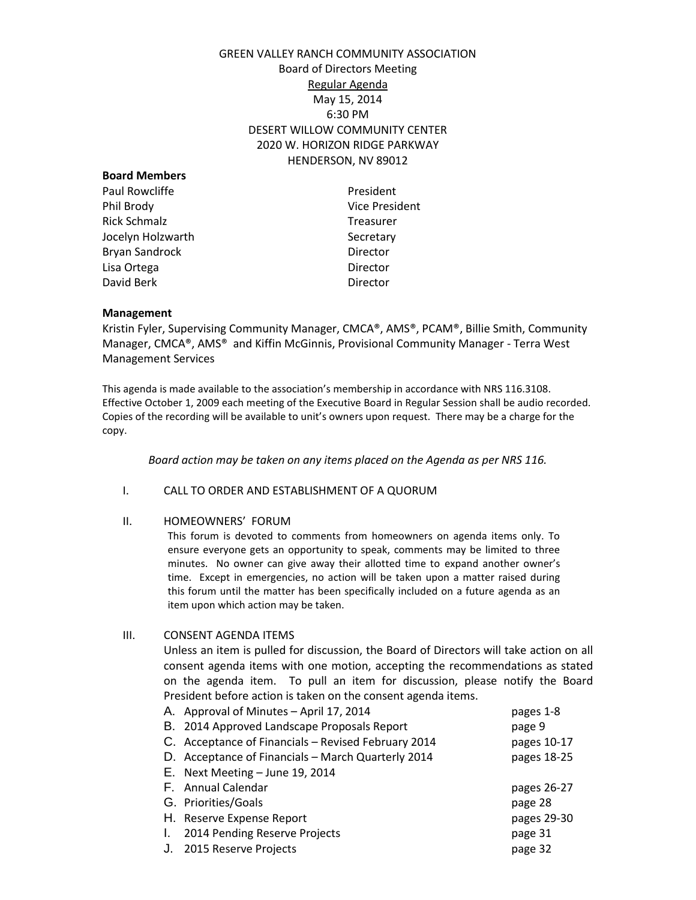# GREEN VALLEY RANCH COMMUNITY ASSOCIATION Board of Directors Meeting Regular Agenda May 15, 2014 6:30 PM DESERT WILLOW COMMUNITY CENTER 2020 W. HORIZON RIDGE PARKWAY HENDERSON, NV 89012

| <b>Board Members</b> |                |
|----------------------|----------------|
| Paul Rowcliffe       | President      |
| Phil Brody           | Vice President |
| <b>Rick Schmalz</b>  | Treasurer      |
| Jocelyn Holzwarth    | Secretary      |
| Bryan Sandrock       | Director       |
| Lisa Ortega          | Director       |
| David Berk           | Director       |
|                      |                |

#### **Management**

Kristin Fyler, Supervising Community Manager, CMCA®, AMS®, PCAM®, Billie Smith, Community Manager, CMCA®, AMS® and Kiffin McGinnis, Provisional Community Manager - Terra West Management Services

This agenda is made available to the association's membership in accordance with NRS 116.3108. Effective October 1, 2009 each meeting of the Executive Board in Regular Session shall be audio recorded. Copies of the recording will be available to unit's owners upon request. There may be a charge for the copy.

*Board action may be taken on any items placed on the Agenda as per NRS 116.*

### I. CALL TO ORDER AND ESTABLISHMENT OF A QUORUM

### II. HOMEOWNERS' FORUM

This forum is devoted to comments from homeowners on agenda items only. To ensure everyone gets an opportunity to speak, comments may be limited to three minutes. No owner can give away their allotted time to expand another owner's time. Except in emergencies, no action will be taken upon a matter raised during this forum until the matter has been specifically included on a future agenda as an item upon which action may be taken.

III. CONSENT AGENDA ITEMS

Unless an item is pulled for discussion, the Board of Directors will take action on all consent agenda items with one motion, accepting the recommendations as stated on the agenda item. To pull an item for discussion, please notify the Board President before action is taken on the consent agenda items.

|    | A. Approval of Minutes - April 17, 2014             | pages 1-8   |
|----|-----------------------------------------------------|-------------|
|    | B. 2014 Approved Landscape Proposals Report         | page 9      |
|    | C. Acceptance of Financials - Revised February 2014 | pages 10-17 |
|    | D. Acceptance of Financials - March Quarterly 2014  | pages 18-25 |
|    | E. Next Meeting $-$ June 19, 2014                   |             |
|    |                                                     |             |
|    | F. Annual Calendar                                  | pages 26-27 |
|    | G. Priorities/Goals                                 | page 28     |
|    | H. Reserve Expense Report                           | pages 29-30 |
| L. | 2014 Pending Reserve Projects                       | page 31     |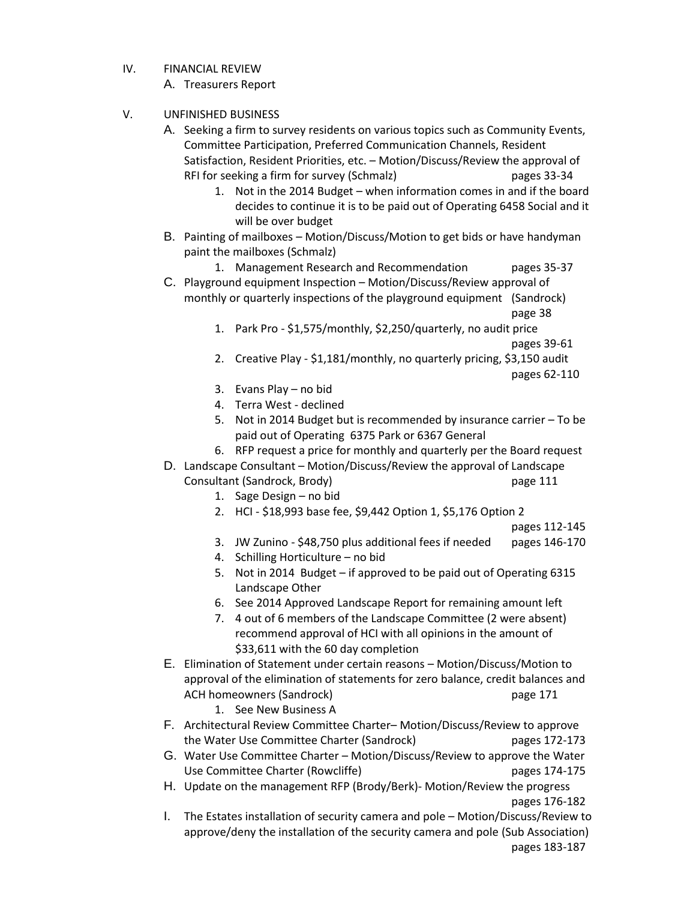IV. FINANCIAL REVIEW

A. Treasurers Report

- V. UNFINISHED BUSINESS
	- A. Seeking a firm to survey residents on various topics such as Community Events, Committee Participation, Preferred Communication Channels, Resident Satisfaction, Resident Priorities, etc. – Motion/Discuss/Review the approval of RFI for seeking a firm for survey (Schmalz) pages 33-34
		- 1. Not in the 2014 Budget when information comes in and if the board decides to continue it is to be paid out of Operating 6458 Social and it will be over budget
	- B. Painting of mailboxes Motion/Discuss/Motion to get bids or have handyman paint the mailboxes (Schmalz)

1. Management Research and Recommendation pages 35-37

C. Playground equipment Inspection – Motion/Discuss/Review approval of monthly or quarterly inspections of the playground equipment (Sandrock)

page 38

- 1. Park Pro \$1,575/monthly, \$2,250/quarterly, no audit price pages 39-61
- 2. Creative Play \$1,181/monthly, no quarterly pricing, \$3,150 audit

pages 62-110

- 3. Evans Play no bid
- 4. Terra West declined
- 5. Not in 2014 Budget but is recommended by insurance carrier To be paid out of Operating 6375 Park or 6367 General
- 6. RFP request a price for monthly and quarterly per the Board request
- D. Landscape Consultant Motion/Discuss/Review the approval of Landscape Consultant (Sandrock, Brody) page 111
	- 1. Sage Design no bid
	- 2. HCI \$18,993 base fee, \$9,442 Option 1, \$5,176 Option 2

pages 112-145

- 3. JW Zunino \$48,750 plus additional fees if needed pages 146-170
- 4. Schilling Horticulture no bid
- 5. Not in 2014 Budget if approved to be paid out of Operating 6315 Landscape Other
- 6. See 2014 Approved Landscape Report for remaining amount left
- 7. 4 out of 6 members of the Landscape Committee (2 were absent) recommend approval of HCI with all opinions in the amount of \$33,611 with the 60 day completion
- E. Elimination of Statement under certain reasons Motion/Discuss/Motion to approval of the elimination of statements for zero balance, credit balances and ACH homeowners (Sandrock) and the control of the page 171

1. See New Business A

- F. Architectural Review Committee Charter– Motion/Discuss/Review to approve the Water Use Committee Charter (Sandrock) pages 172-173
- G. Water Use Committee Charter Motion/Discuss/Review to approve the Water Use Committee Charter (Rowcliffe) entitled the community of the community of the community of the Community of the Community of the Community of the Community of the Community of the Community of the Community of the Commu
- H. Update on the management RFP (Brody/Berk)- Motion/Review the progress pages 176-182
- I. The Estates installation of security camera and pole Motion/Discuss/Review to approve/deny the installation of the security camera and pole (Sub Association) pages 183-187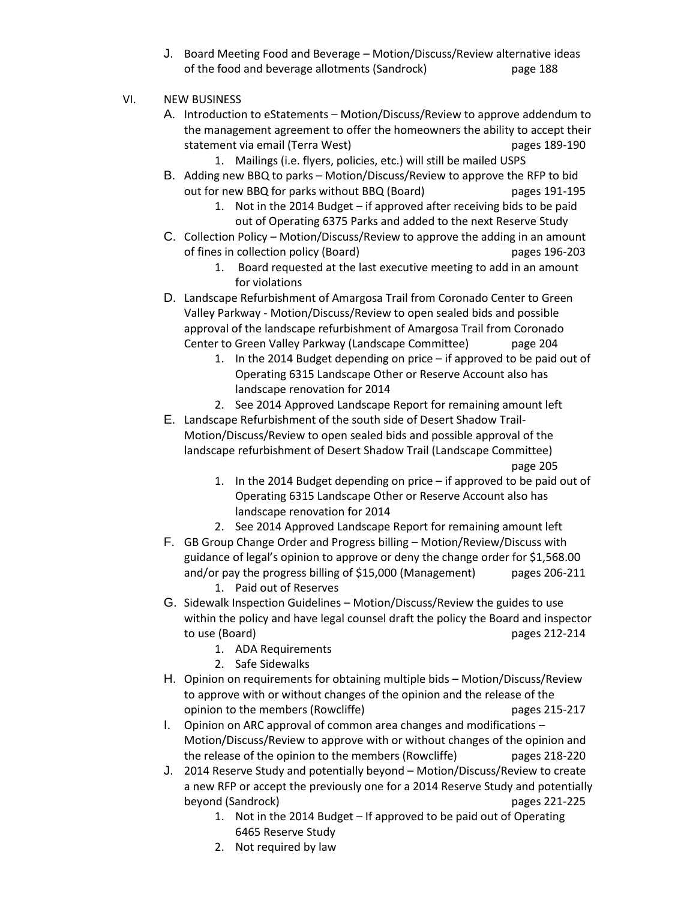J. Board Meeting Food and Beverage – Motion/Discuss/Review alternative ideas of the food and beverage allotments (Sandrock) page 188

# VI. NEW BUSINESS

- A. Introduction to eStatements Motion/Discuss/Review to approve addendum to the management agreement to offer the homeowners the ability to accept their statement via email (Terra West) pages 189-190
	- 1. Mailings (i.e. flyers, policies, etc.) will still be mailed USPS
- B. Adding new BBQ to parks Motion/Discuss/Review to approve the RFP to bid out for new BBQ for parks without BBQ (Board) pages 191-195
	- 1. Not in the 2014 Budget if approved after receiving bids to be paid out of Operating 6375 Parks and added to the next Reserve Study
- C. Collection Policy Motion/Discuss/Review to approve the adding in an amount of fines in collection policy (Board) pages 196-203
	- 1. Board requested at the last executive meeting to add in an amount for violations
- D. Landscape Refurbishment of Amargosa Trail from Coronado Center to Green Valley Parkway - Motion/Discuss/Review to open sealed bids and possible approval of the landscape refurbishment of Amargosa Trail from Coronado Center to Green Valley Parkway (Landscape Committee) page 204
	- 1. In the 2014 Budget depending on price if approved to be paid out of Operating 6315 Landscape Other or Reserve Account also has landscape renovation for 2014
	- 2. See 2014 Approved Landscape Report for remaining amount left
- E. Landscape Refurbishment of the south side of Desert Shadow Trail-Motion/Discuss/Review to open sealed bids and possible approval of the landscape refurbishment of Desert Shadow Trail (Landscape Committee)

page 205

- 1. In the 2014 Budget depending on price if approved to be paid out of Operating 6315 Landscape Other or Reserve Account also has landscape renovation for 2014
- 2. See 2014 Approved Landscape Report for remaining amount left
- F. GB Group Change Order and Progress billing Motion/Review/Discuss with guidance of legal's opinion to approve or deny the change order for \$1,568.00 and/or pay the progress billing of \$15,000 (Management) pages 206-211 1. Paid out of Reserves
- G. Sidewalk Inspection Guidelines Motion/Discuss/Review the guides to use within the policy and have legal counsel draft the policy the Board and inspector to use (Board) pages 212-214
	- 1. ADA Requirements
	- 2. Safe Sidewalks
- H. Opinion on requirements for obtaining multiple bids Motion/Discuss/Review to approve with or without changes of the opinion and the release of the opinion to the members (Rowcliffe) example the magnetic pages 215-217
- I. Opinion on ARC approval of common area changes and modifications Motion/Discuss/Review to approve with or without changes of the opinion and the release of the opinion to the members (Rowcliffe) pages 218-220
- J. 2014 Reserve Study and potentially beyond Motion/Discuss/Review to create a new RFP or accept the previously one for a 2014 Reserve Study and potentially beyond (Sandrock) pages 221-225
	- 1. Not in the 2014 Budget If approved to be paid out of Operating 6465 Reserve Study
	- 2. Not required by law